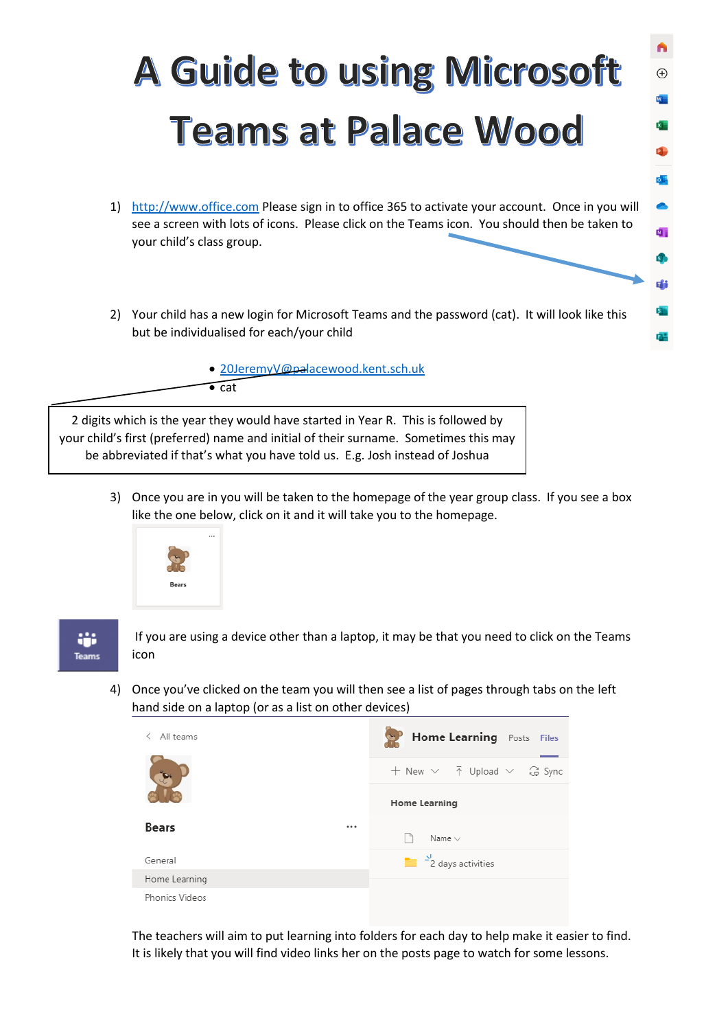## **A Guide to using Microsoft Teams at Palace Wood**

 $\bigoplus$ 

 $\overline{\bullet}$ 

 $\overline{\mathbf{N}}$  .

市

由

- 1) [http://www.office.com](http://www.office.com/) Please sign in to office 365 to activate your account. Once in you will see a screen with lots of icons. Please click on the Teams icon. You should then be taken to your child's class group.
- 2) Your child has a new login for Microsoft Teams and the password (cat). It will look like this but be individualised for each/your child

• [20JeremyV@palacewood.kent.sch.uk](mailto:20JeremyV@palacewood.kent.sch.uk)

2 digits which is the year they would have started in Year R. This is followed by your child's first (preferred) name and initial of their surname. Sometimes this may be abbreviated if that's what you have told us. E.g. Josh instead of Joshua

 $\overline{\bullet}$  cat

3) Once you are in you will be taken to the homepage of the year group class. If you see a box like the one below, click on it and it will take you to the homepage.



÷ Teams

If you are using a device other than a laptop, it may be that you need to click on the Teams icon

4) Once you've clicked on the team you will then see a list of pages through tabs on the left hand side on a laptop (or as a list on other devices)



The teachers will aim to put learning into folders for each day to help make it easier to find. It is likely that you will find video links her on the posts page to watch for some lessons.